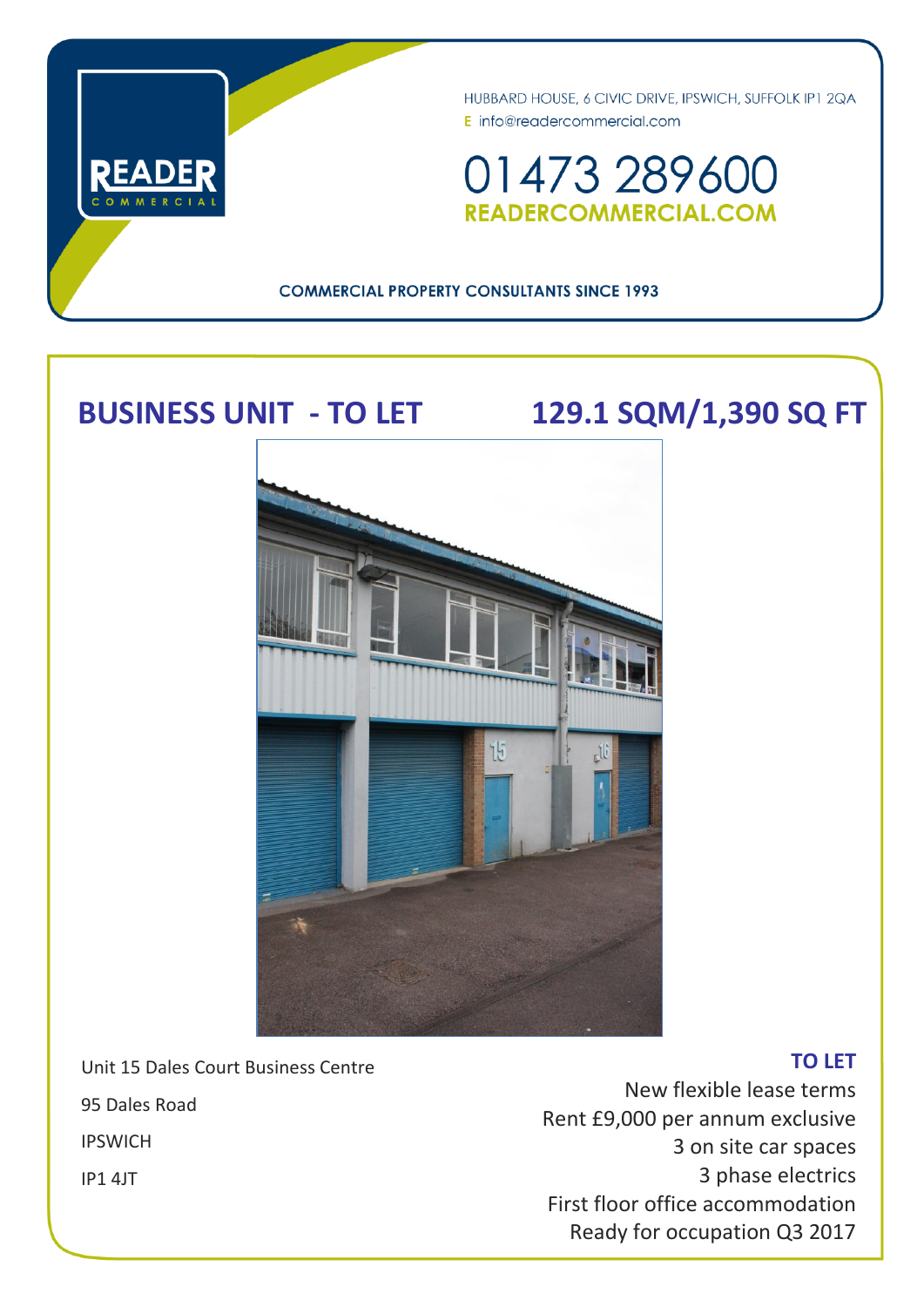

HUBBARD HOUSE, 6 CIVIC DRIVE, IPSWICH, SUFFOLK IP1 2QA E info@readercommercial.com

01473 289600 **READERCOMMERCIAL.COM** 

### **COMMERCIAL PROPERTY CONSULTANTS SINCE 1993**

# **BUSINESS UNIT - TO LET 129.1 SQM/1,390 SQ FT**



Unit 15 Dales Court Business Centre

95 Dales Road

IPSWICH

IP1 4JT

## New flexible lease terms Rent £9,000 per annum exclusive 3 on site car spaces 3 phase electrics First floor office accommodation Ready for occupation Q3 2017

**TO LET**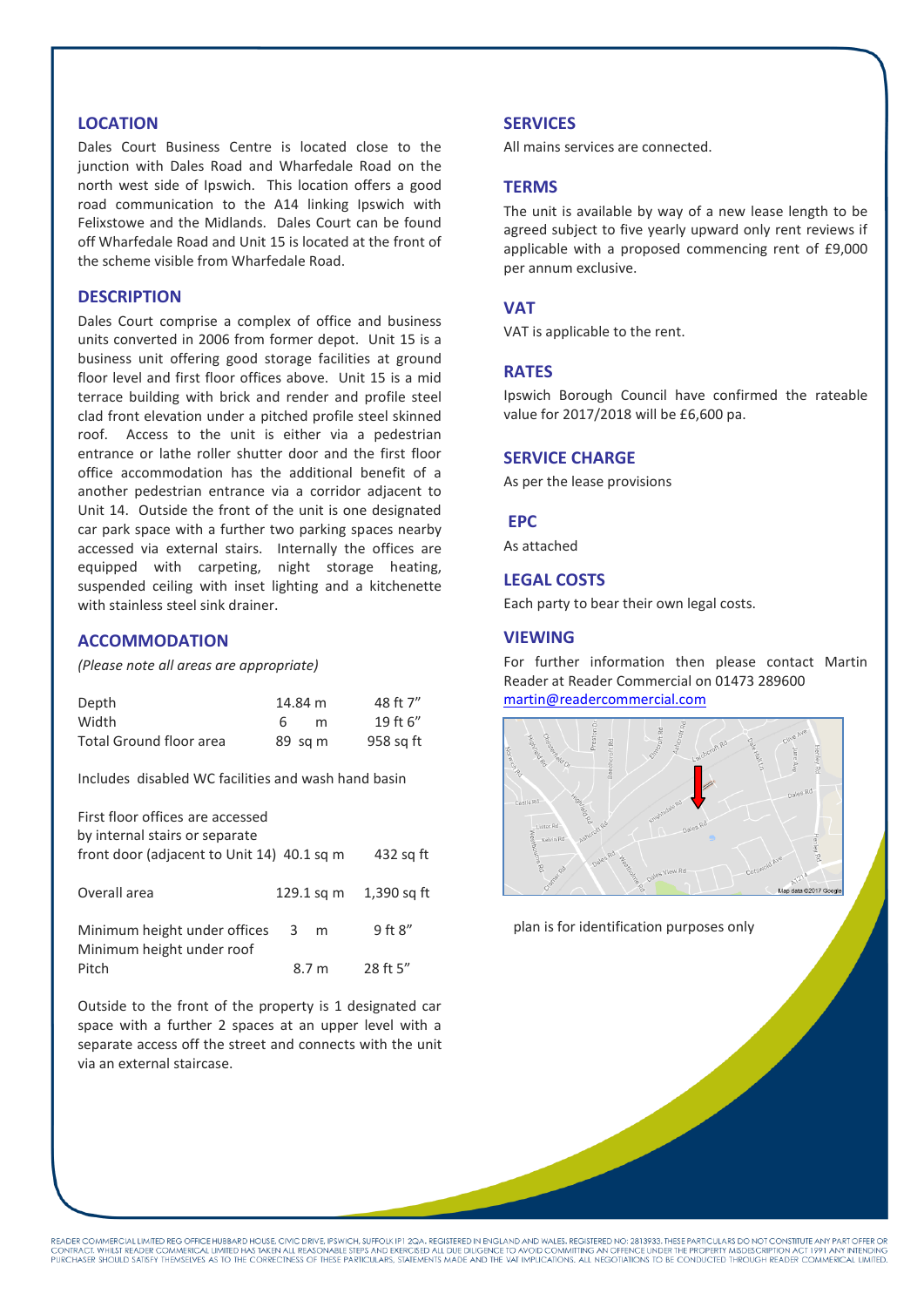#### **LOCATION**

Dales Court Business Centre is located close to the junction with Dales Road and Wharfedale Road on the north west side of Ipswich. This location offers a good road communication to the A14 linking Ipswich with Felixstowe and the Midlands. Dales Court can be found off Wharfedale Road and Unit 15 is located at the front of the scheme visible from Wharfedale Road.

#### **DESCRIPTION**

Dales Court comprise a complex of office and business units converted in 2006 from former depot. Unit 15 is a business unit offering good storage facilities at ground floor level and first floor offices above. Unit 15 is a mid terrace building with brick and render and profile steel clad front elevation under a pitched profile steel skinned roof. Access to the unit is either via a pedestrian entrance or lathe roller shutter door and the first floor office accommodation has the additional benefit of a another pedestrian entrance via a corridor adjacent to Unit 14. Outside the front of the unit is one designated car park space with a further two parking spaces nearby accessed via external stairs. Internally the offices are equipped with carpeting, night storage heating, suspended ceiling with inset lighting and a kitchenette with stainless steel sink drainer.

#### **ACCOMMODATION**

*(Please note all areas are appropriate)*

| Depth                   | 14.84 m           | 48 ft 7"  |
|-------------------------|-------------------|-----------|
| Width                   | 6<br>m            | 19 ft 6"  |
| Total Ground floor area | $89 \text{ sq m}$ | 958 sq ft |

Includes disabled WC facilities and wash hand basin

First floor offices are accessed by internal stairs or separate front door (adjacent to Unit 14) 40.1 sq m 432 sq ft Overall area 129.1 sq m 1,390 sq ft Minimum height under offices 3 m 9 ft 8" Minimum height under roof Pitch 8.7 m 28 ft 5"

Outside to the front of the property is 1 designated car space with a further 2 spaces at an upper level with a separate access off the street and connects with the unit via an external staircase.

#### **SERVICES**

All mains services are connected.

#### **TERMS**

The unit is available by way of a new lease length to be agreed subject to five yearly upward only rent reviews if applicable with a proposed commencing rent of £9,000 per annum exclusive.

#### **VAT**

VAT is applicable to the rent.

#### **RATES**

Ipswich Borough Council have confirmed the rateable value for 2017/2018 will be £6,600 pa.

#### **SERVICE CHARGE**

As per the lease provisions

#### **EPC**

As attached

#### **LEGAL COSTS**

Each party to bear their own legal costs.

#### **VIEWING**

For further information then please contact Martin Reader at Reader Commercial on 01473 289600 [martin@readercommercial.com](mailto:martin@readercommercial.com)



plan is for identification purposes only

READER COMMERCIAL LIMITED REG OFFICE HUBBARD HOUSE, CIVIC DRIVE, IPSWICH, SUFFOLK IP 1QA. REGISTERED IN ENGLAND AND WALES. REGISTERED NO: 2813933. THESE PARTICULARS DO NOT CONSTITUTE ANY PART OFFER OR<br>CONTRACT. WHILST READ